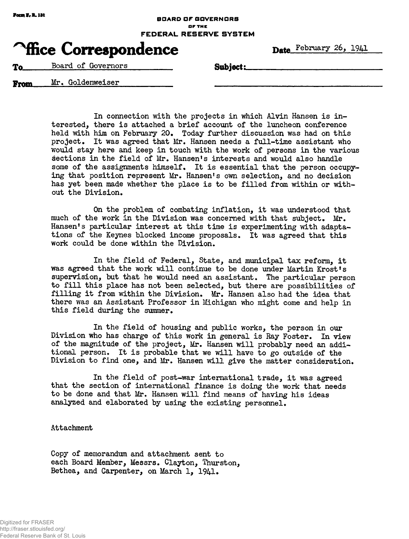## **Focm I, R. 131 Focus 1, R. 141 BOARD OF GOVERNORS or THE FEDERAL RESERVE SYSTEM**

## **Trice Correspondence** Date February 26, 1941

**Example 3** Board of Governors Subject:

From Mr. Goldenweiser

In connection with the projects in which Alvin Hansen is interested, there is attached a brief account of the luncheon conference held with him on February 20. Today further discussion was had on this project. It was agreed that Mr. Hansen needs a full-time assistant who would stay here and keep in touch with the work of persons in the various sections in the field of Mr. Hansen's interests and would also handle some of the assignments himself. It is essential that the person occupying that position represent Mr. Hansen's own selection, and no decision has yet been made whether the place is to be filled from within or without the Division.

On the problem of combating inflation, it was understood that much of the work in the Division was concerned with that subject. Mr. Hansen's particular interest at this time is experimenting with adaptations of the Keynes blocked income proposals. It was agreed that this work could be done within the Division.

In the field of Federal, State, and municipal tax reform, it was agreed that the work will continue to be done under Martin Krost's supervision, but that he would need an assistant. The particular person to fill this place has not been selected, but there are possibilities of filling it from within the Division. Mr. Hansen also had the idea that there was an Assistant Professor in Michigan who might come and help in this field during the summer.

In the field of housing and public works, the person in our Division who has charge of this work in general is Ray Foster. In view of the magnitude of the project, Mr. Hansen will probably need an additional person. It is probable that we will have to go outside of the Division to find one, and Mr. Hansen will give the matter consideration.

In the field of post-war international trade, it was agreed that the section of international finance is doing the work that needs to be done and that Mr. Hansen will find means of having his ideas analyzed and elaborated by using the existing personnel.

## Attachment

Copy of memorandum and attachment sent to each Board Member, Messrs. Clayton, Thurston, Bethea, and Carpenter, on March 1, 1941.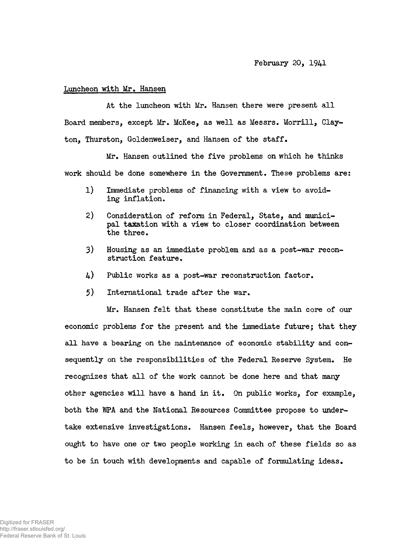## Luncheon with Mr, Hansen

At the luncheon with Mr. Hansen there were present all Board members, except Mr. McKee, as well as Messrs. Morrill, Clayton, Thurston, Goldenweiser, and Hansen of the staff.

Mr. Hansen outlined the five problems on which he thinks work should be done somewhere in the Government. These problems are:

- 1) Immediate problems of financing with a view to avoiding inflation.
- 2) Consideration of reform in Federal, State, and municipal taxation with a view to closer coordination between the three.
- 3) Housing as an immediate problem and as a post-war reconstruction feature.
- 4) Public works as a post-war reconstruction factor.
- 5) International trade after the war.

Mr. Hansen felt that these constitute the main core of our economic problems for the present and the immediate future; that they all have a bearing on the maintenance of economic stability and consequently on the responsibilities of the Federal Reserve System. He recognizes that all of the work cannot be done here and that many other agencies will have a hand in it. On public works, for example, both the WPA and the National Resources Committee propose to undertake extensive investigations. Hansen feels, however, that the Board ought to have one or two people working in each of these fields so as to be in touch with developments and capable of formulating ideas.